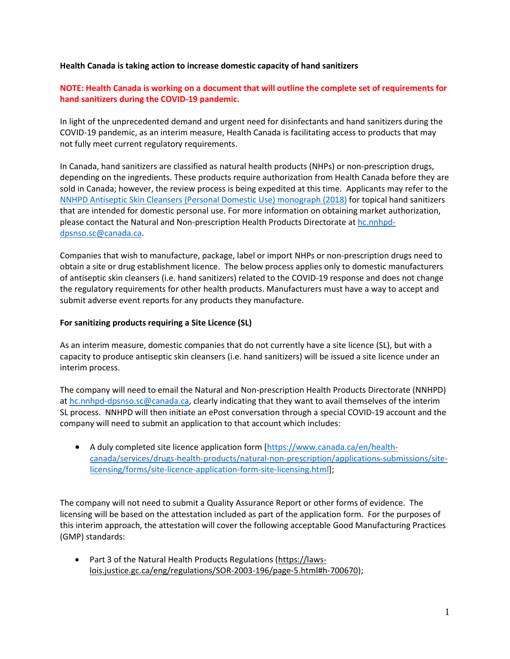## **Health Canada is taking action to increase domestic capacity of hand sanitizers**

## **NOTE: Health Canada is working on a document that will outline the complete set of requirements for hand sanitizers during the COVID-19 pandemic.**

In light of the unprecedented demand and urgent need for disinfectants and hand sanitizers during the COVID-19 pandemic, as an interim measure, Health Canada is facilitating access to products that may not fully meet current regulatory requirements.

In Canada, hand sanitizers are classified as natural health products (NHPs) or non-prescription drugs, depending on the ingredients. These products require authorization from Health Canada before they are sold in Canada; however, the review process is being expedited at this time. Applicants may refer to the [NNHPD Antiseptic Skin Cleansers \(Personal Domestic Use\) monograph \(2018\)](http://webprod.hc-sc.gc.ca/nhpid-bdipsn/atReq.do?atid=antiseptic_antiseptique&lang=eng) for topical hand sanitizers that are intended for domestic personal use. For more information on obtaining market authorization, please contact the Natural and Non-prescription Health Products Directorate a[t hc.nnhpd](mailto:hc.nnhpd-dpsnso.sc@canada.ca)[dpsnso.sc@canada.ca.](mailto:hc.nnhpd-dpsnso.sc@canada.ca)

Companies that wish to manufacture, package, label or import NHPs or non-prescription drugs need to obtain a site or drug establishment licence. The below process applies only to domestic manufacturers of antiseptic skin cleansers (i.e. hand sanitizers) related to the COVID-19 response and does not change the regulatory requirements for other health products. Manufacturers must have a way to accept and submit adverse event reports for any products they manufacture.

## **For sanitizing products requiring a Site Licence (SL)**

As an interim measure, domestic companies that do not currently have a site licence (SL), but with a capacity to produce antiseptic skin cleansers (i.e. hand sanitizers) will be issued a site licence under an interim process.

The company will need to email the Natural and Non-prescription Health Products Directorate (NNHPD) a[t hc.nnhpd-dpsnso.sc@canada.ca,](mailto:hc.nnhpd-dpsnso.sc@canada.ca) clearly indicating that they want to avail themselves of the interim SL process. NNHPD will then initiate an ePost conversation through a special COVID-19 account and the company will need to submit an application to that account which includes:

• A duly completed site licence application form [\[https://www.canada.ca/en/health](https://www.canada.ca/en/health-canada/services/drugs-health-products/natural-non-prescription/applications-submissions/site-licensing/forms/site-licence-application-form-site-licensing.html)[canada/services/drugs-health-products/natural-non-prescription/applications-submissions/site](https://www.canada.ca/en/health-canada/services/drugs-health-products/natural-non-prescription/applications-submissions/site-licensing/forms/site-licence-application-form-site-licensing.html)[licensing/forms/site-licence-application-form-site-licensing.html\]](https://www.canada.ca/en/health-canada/services/drugs-health-products/natural-non-prescription/applications-submissions/site-licensing/forms/site-licence-application-form-site-licensing.html);

The company will not need to submit a Quality Assurance Report or other forms of evidence. The licensing will be based on the attestation included as part of the application form. For the purposes of this interim approach, the attestation will cover the following acceptable Good Manufacturing Practices (GMP) standards:

• Part 3 of the Natural Health Products Regulations [\(https://laws](https://laws-lois.justice.gc.ca/eng/regulations/SOR-2003-196/page-5.html#h-700670)[lois.justice.gc.ca/eng/regulations/SOR-2003-196/page-5.html#h-700670\)](https://laws-lois.justice.gc.ca/eng/regulations/SOR-2003-196/page-5.html#h-700670);